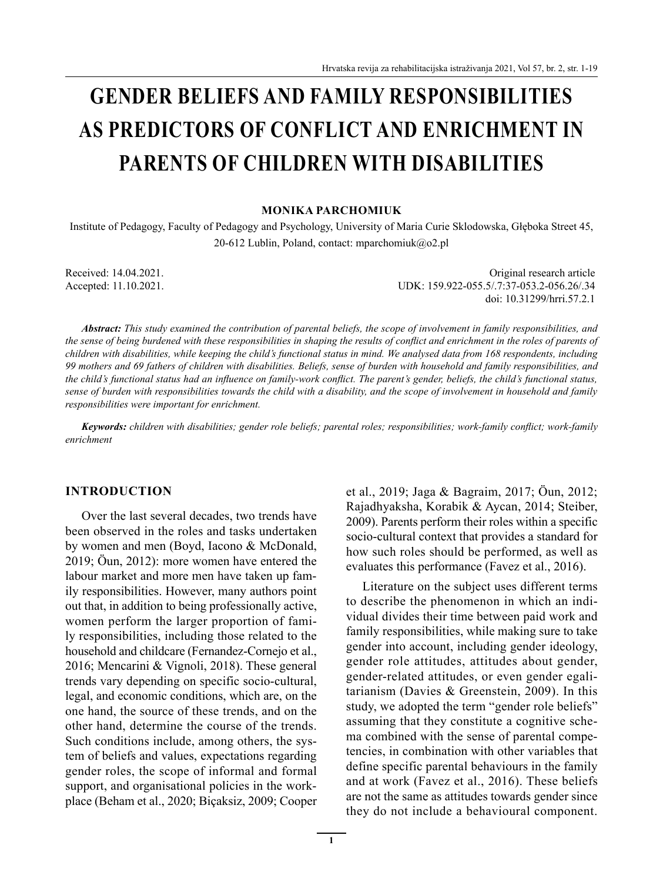# **GENDER BELIEFS AND FAMILY RESPONSIBILITIES AS PREDICTORS OF CONFLICT AND ENRICHMENT IN PARENTS OF CHILDREN WITH DISABILITIES**

#### **MONIKA PARCHOMIUK**

Institute of Pedagogy, Faculty of Pedagogy and Psychology, University of Maria Curie Sklodowska, Głęboka Street 45, 20-612 Lublin, Poland, contact: mparchomiuk@o2.pl

Received: 14.04.2021. Original research article Accepted: 11.10.2021. UDK: 159.922-055.5/.7:37-053.2-056.26/.34 doi: 10.31299/hrri.57.2.1

*Abstract: This study examined the contribution of parental beliefs, the scope of involvement in family responsibilities, and the sense of being burdened with these responsibilities in shaping the results of conflict and enrichment in the roles of parents of children with disabilities, while keeping the child's functional status in mind. We analysed data from 168 respondents, including 99 mothers and 69 fathers of children with disabilities. Beliefs, sense of burden with household and family responsibilities, and the child's functional status had an influence on family-work conflict. The parent's gender, beliefs, the child's functional status, sense of burden with responsibilities towards the child with a disability, and the scope of involvement in household and family responsibilities were important for enrichment.*

*Keywords: children with disabilities; gender role beliefs; parental roles; responsibilities; work-family conflict; work-family enrichment*

#### **INTRODUCTION**

Over the last several decades, two trends have been observed in the roles and tasks undertaken by women and men (Boyd, Iacono & McDonald, 2019; Öun, 2012): more women have entered the labour market and more men have taken up family responsibilities. However, many authors point out that, in addition to being professionally active, women perform the larger proportion of family responsibilities, including those related to the household and childcare (Fernandez-Cornejo et al., 2016; Mencarini & Vignoli, 2018). These general trends vary depending on specific socio-cultural, legal, and economic conditions, which are, on the one hand, the source of these trends, and on the other hand, determine the course of the trends. Such conditions include, among others, the system of beliefs and values, expectations regarding gender roles, the scope of informal and formal support, and organisational policies in the workplace (Beham et al., 2020; Biçaksiz, 2009; Cooper et al., 2019; Jaga & Bagraim, 2017; Öun, 2012; Rajadhyaksha, Korabik & Aycan, 2014; Steiber, 2009). Parents perform their roles within a specific socio-cultural context that provides a standard for how such roles should be performed, as well as evaluates this performance (Favez et al., 2016).

Literature on the subject uses different terms to describe the phenomenon in which an individual divides their time between paid work and family responsibilities, while making sure to take gender into account, including gender ideology, gender role attitudes, attitudes about gender, gender-related attitudes, or even gender egalitarianism (Davies & Greenstein, 2009). In this study, we adopted the term "gender role beliefs" assuming that they constitute a cognitive schema combined with the sense of parental competencies, in combination with other variables that define specific parental behaviours in the family and at work (Favez et al., 2016). These beliefs are not the same as attitudes towards gender since they do not include a behavioural component.

**1**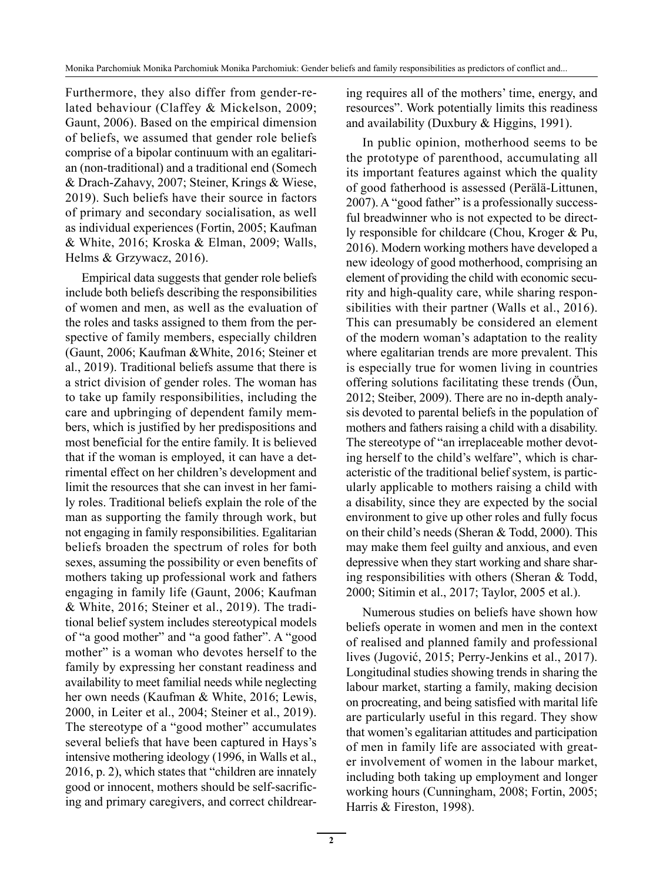Furthermore, they also differ from gender-related behaviour (Claffey & Mickelson, 2009; Gaunt, 2006). Based on the empirical dimension of beliefs, we assumed that gender role beliefs comprise of a bipolar continuum with an egalitarian (non-traditional) and a traditional end (Somech & Drach-Zahavy, 2007; Steiner, Krings & Wiese, 2019). Such beliefs have their source in factors of primary and secondary socialisation, as well as individual experiences (Fortin, 2005; Kaufman & White, 2016; Kroska & Elman, 2009; Walls, Helms & Grzywacz, 2016).

Empirical data suggests that gender role beliefs include both beliefs describing the responsibilities of women and men, as well as the evaluation of the roles and tasks assigned to them from the perspective of family members, especially children (Gaunt, 2006; Kaufman &White, 2016; Steiner et al., 2019). Traditional beliefs assume that there is a strict division of gender roles. The woman has to take up family responsibilities, including the care and upbringing of dependent family members, which is justified by her predispositions and most beneficial for the entire family. It is believed that if the woman is employed, it can have a detrimental effect on her children's development and limit the resources that she can invest in her family roles. Traditional beliefs explain the role of the man as supporting the family through work, but not engaging in family responsibilities. Egalitarian beliefs broaden the spectrum of roles for both sexes, assuming the possibility or even benefits of mothers taking up professional work and fathers engaging in family life (Gaunt, 2006; Kaufman & White, 2016; Steiner et al., 2019). The traditional belief system includes stereotypical models of "a good mother" and "a good father". A "good mother" is a woman who devotes herself to the family by expressing her constant readiness and availability to meet familial needs while neglecting her own needs (Kaufman & White, 2016; Lewis, 2000, in Leiter et al., 2004; Steiner et al., 2019). The stereotype of a "good mother" accumulates several beliefs that have been captured in Hays's intensive mothering ideology (1996, in Walls et al., 2016, p. 2), which states that "children are innately good or innocent, mothers should be self-sacrificing and primary caregivers, and correct childrearing requires all of the mothers' time, energy, and resources". Work potentially limits this readiness and availability (Duxbury & Higgins, 1991).

In public opinion, motherhood seems to be the prototype of parenthood, accumulating all its important features against which the quality of good fatherhood is assessed (Perälä-Littunen, 2007). A "good father" is a professionally successful breadwinner who is not expected to be directly responsible for childcare (Chou, Kroger & Pu, 2016). Modern working mothers have developed a new ideology of good motherhood, comprising an element of providing the child with economic security and high-quality care, while sharing responsibilities with their partner (Walls et al., 2016). This can presumably be considered an element of the modern woman's adaptation to the reality where egalitarian trends are more prevalent. This is especially true for women living in countries offering solutions facilitating these trends (Öun, 2012; Steiber, 2009). There are no in-depth analysis devoted to parental beliefs in the population of mothers and fathers raising a child with a disability. The stereotype of "an irreplaceable mother devoting herself to the child's welfare", which is characteristic of the traditional belief system, is particularly applicable to mothers raising a child with a disability, since they are expected by the social environment to give up other roles and fully focus on their child's needs (Sheran & Todd, 2000). This may make them feel guilty and anxious, and even depressive when they start working and share sharing responsibilities with others (Sheran & Todd, 2000; Sitimin et al., 2017; Taylor, 2005 et al.).

Numerous studies on beliefs have shown how beliefs operate in women and men in the context of realised and planned family and professional lives (Jugović, 2015; Perry-Jenkins et al., 2017). Longitudinal studies showing trends in sharing the labour market, starting a family, making decision on procreating, and being satisfied with marital life are particularly useful in this regard. They show that women's egalitarian attitudes and participation of men in family life are associated with greater involvement of women in the labour market, including both taking up employment and longer working hours (Cunningham, 2008; Fortin, 2005; Harris & Fireston, 1998).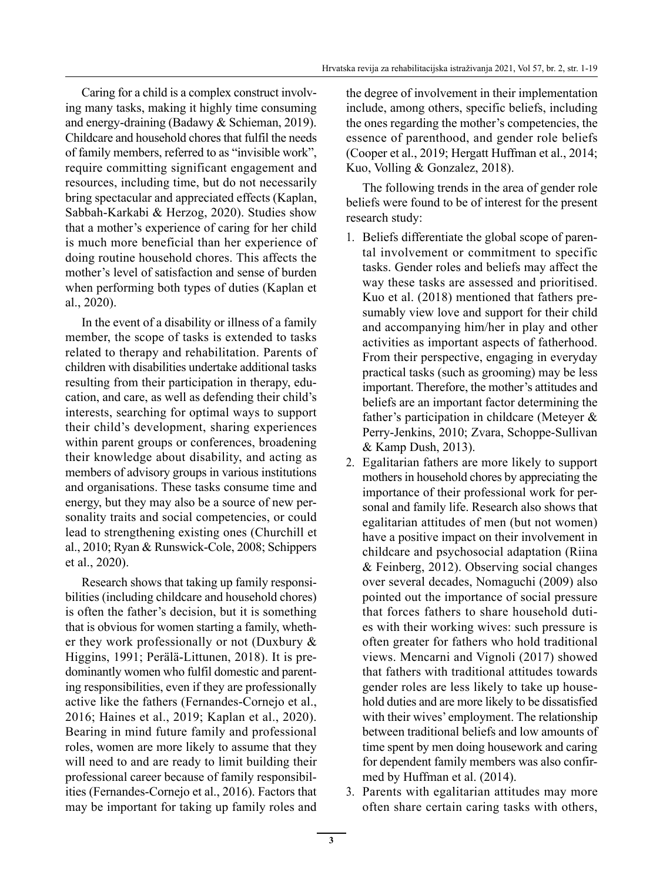Caring for a child is a complex construct involving many tasks, making it highly time consuming and energy-draining (Badawy & Schieman, 2019). Childcare and household chores that fulfil the needs of family members, referred to as "invisible work", require committing significant engagement and resources, including time, but do not necessarily bring spectacular and appreciated effects (Kaplan, Sabbah-Karkabi & Herzog, 2020). Studies show that a mother's experience of caring for her child is much more beneficial than her experience of doing routine household chores. This affects the mother's level of satisfaction and sense of burden when performing both types of duties (Kaplan et al., 2020).

In the event of a disability or illness of a family member, the scope of tasks is extended to tasks related to therapy and rehabilitation. Parents of children with disabilities undertake additional tasks resulting from their participation in therapy, education, and care, as well as defending their child's interests, searching for optimal ways to support their child's development, sharing experiences within parent groups or conferences, broadening their knowledge about disability, and acting as members of advisory groups in various institutions and organisations. These tasks consume time and energy, but they may also be a source of new personality traits and social competencies, or could lead to strengthening existing ones (Churchill et al., 2010; Ryan & Runswick-Cole, 2008; Schippers et al., 2020).

Research shows that taking up family responsibilities (including childcare and household chores) is often the father's decision, but it is something that is obvious for women starting a family, whether they work professionally or not (Duxbury & Higgins, 1991; Perälä-Littunen, 2018). It is predominantly women who fulfil domestic and parenting responsibilities, even if they are professionally active like the fathers (Fernandes-Cornejo et al., 2016; Haines et al., 2019; Kaplan et al., 2020). Bearing in mind future family and professional roles, women are more likely to assume that they will need to and are ready to limit building their professional career because of family responsibilities (Fernandes-Cornejo et al., 2016). Factors that may be important for taking up family roles and the degree of involvement in their implementation include, among others, specific beliefs, including the ones regarding the mother's competencies, the essence of parenthood, and gender role beliefs (Cooper et al., 2019; Hergatt Huffman et al., 2014; Kuo, Volling & Gonzalez, 2018).

The following trends in the area of gender role beliefs were found to be of interest for the present research study:

- 1. Beliefs differentiate the global scope of parental involvement or commitment to specific tasks. Gender roles and beliefs may affect the way these tasks are assessed and prioritised. Kuo et al. (2018) mentioned that fathers presumably view love and support for their child and accompanying him/her in play and other activities as important aspects of fatherhood. From their perspective, engaging in everyday practical tasks (such as grooming) may be less important. Therefore, the mother's attitudes and beliefs are an important factor determining the father's participation in childcare (Meteyer & Perry-Jenkins, 2010; Zvara, Schoppe-Sullivan & Kamp Dush, 2013).
- 2. Egalitarian fathers are more likely to support mothers in household chores by appreciating the importance of their professional work for personal and family life. Research also shows that egalitarian attitudes of men (but not women) have a positive impact on their involvement in childcare and psychosocial adaptation (Riina & Feinberg, 2012). Observing social changes over several decades, Nomaguchi (2009) also pointed out the importance of social pressure that forces fathers to share household duties with their working wives: such pressure is often greater for fathers who hold traditional views. Mencarni and Vignoli (2017) showed that fathers with traditional attitudes towards gender roles are less likely to take up household duties and are more likely to be dissatisfied with their wives' employment. The relationship between traditional beliefs and low amounts of time spent by men doing housework and caring for dependent family members was also confirmed by Huffman et al. (2014).
- 3. Parents with egalitarian attitudes may more often share certain caring tasks with others,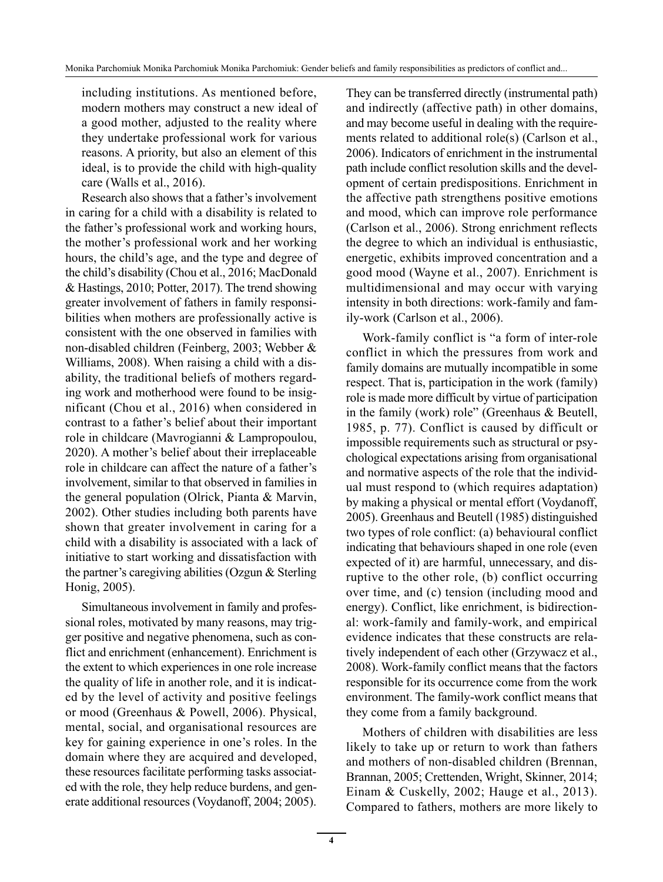including institutions. As mentioned before, modern mothers may construct a new ideal of a good mother, adjusted to the reality where they undertake professional work for various reasons. A priority, but also an element of this ideal, is to provide the child with high-quality care (Walls et al., 2016).

Research also shows that a father's involvement in caring for a child with a disability is related to the father's professional work and working hours, the mother's professional work and her working hours, the child's age, and the type and degree of the child's disability (Chou et al., 2016; MacDonald & Hastings, 2010; Potter, 2017). The trend showing greater involvement of fathers in family responsibilities when mothers are professionally active is consistent with the one observed in families with non-disabled children (Feinberg, 2003; Webber & Williams, 2008). When raising a child with a disability, the traditional beliefs of mothers regarding work and motherhood were found to be insignificant (Chou et al., 2016) when considered in contrast to a father's belief about their important role in childcare (Mavrogianni & Lampropoulou, 2020). A mother's belief about their irreplaceable role in childcare can affect the nature of a father's involvement, similar to that observed in families in the general population (Olrick, Pianta & Marvin, 2002). Other studies including both parents have shown that greater involvement in caring for a child with a disability is associated with a lack of initiative to start working and dissatisfaction with the partner's caregiving abilities (Ozgun & Sterling Honig, 2005).

Simultaneous involvement in family and professional roles, motivated by many reasons, may trigger positive and negative phenomena, such as conflict and enrichment (enhancement). Enrichment is the extent to which experiences in one role increase the quality of life in another role, and it is indicated by the level of activity and positive feelings or mood (Greenhaus & Powell, 2006). Physical, mental, social, and organisational resources are key for gaining experience in one's roles. In the domain where they are acquired and developed, these resources facilitate performing tasks associated with the role, they help reduce burdens, and generate additional resources (Voydanoff, 2004; 2005). They can be transferred directly (instrumental path) and indirectly (affective path) in other domains, and may become useful in dealing with the requirements related to additional role(s) (Carlson et al., 2006). Indicators of enrichment in the instrumental path include conflict resolution skills and the development of certain predispositions. Enrichment in the affective path strengthens positive emotions and mood, which can improve role performance (Carlson et al., 2006). Strong enrichment reflects the degree to which an individual is enthusiastic, energetic, exhibits improved concentration and a good mood (Wayne et al., 2007). Enrichment is multidimensional and may occur with varying intensity in both directions: work-family and family-work (Carlson et al., 2006).

Work-family conflict is "a form of inter-role conflict in which the pressures from work and family domains are mutually incompatible in some respect. That is, participation in the work (family) role is made more difficult by virtue of participation in the family (work) role" (Greenhaus & Beutell, 1985, p. 77). Conflict is caused by difficult or impossible requirements such as structural or psychological expectations arising from organisational and normative aspects of the role that the individual must respond to (which requires adaptation) by making a physical or mental effort (Voydanoff, 2005). Greenhaus and Beutell (1985) distinguished two types of role conflict: (a) behavioural conflict indicating that behaviours shaped in one role (even expected of it) are harmful, unnecessary, and disruptive to the other role, (b) conflict occurring over time, and (c) tension (including mood and energy). Conflict, like enrichment, is bidirectional: work-family and family-work, and empirical evidence indicates that these constructs are relatively independent of each other (Grzywacz et al., 2008). Work-family conflict means that the factors responsible for its occurrence come from the work environment. The family-work conflict means that they come from a family background.

Mothers of children with disabilities are less likely to take up or return to work than fathers and mothers of non-disabled children (Brennan, Brannan, 2005; Crettenden, Wright, Skinner, 2014; Einam & Cuskelly, 2002; Hauge et al., 2013). Compared to fathers, mothers are more likely to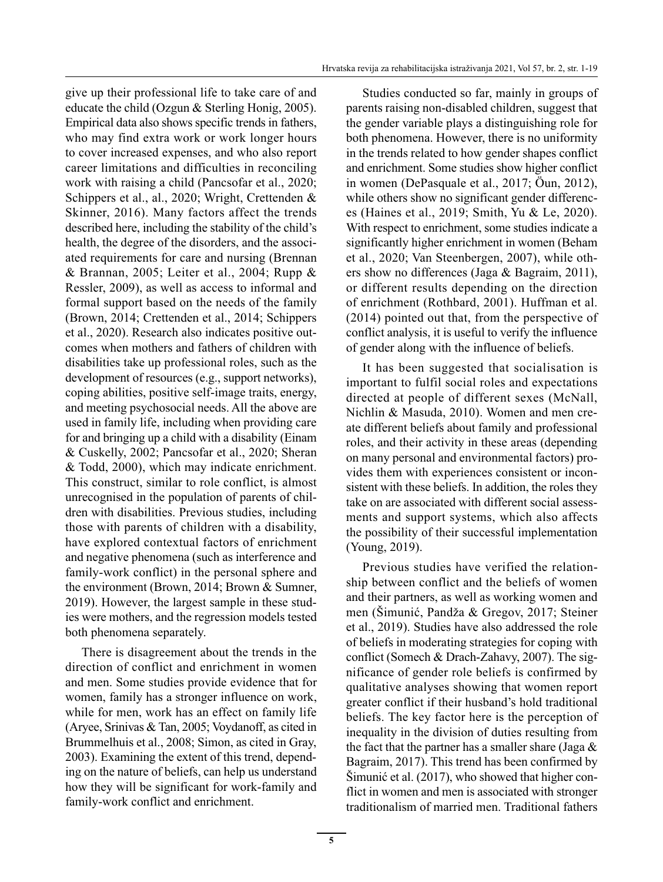give up their professional life to take care of and educate the child (Ozgun & Sterling Honig, 2005). Empirical data also shows specific trends in fathers, who may find extra work or work longer hours to cover increased expenses, and who also report career limitations and difficulties in reconciling work with raising a child (Pancsofar et al., 2020; Schippers et al., al., 2020; Wright, Crettenden & Skinner, 2016). Many factors affect the trends described here, including the stability of the child's health, the degree of the disorders, and the associated requirements for care and nursing (Brennan & Brannan, 2005; Leiter et al., 2004; Rupp & Ressler, 2009), as well as access to informal and formal support based on the needs of the family (Brown, 2014; Crettenden et al., 2014; Schippers et al., 2020). Research also indicates positive outcomes when mothers and fathers of children with disabilities take up professional roles, such as the development of resources (e.g., support networks), coping abilities, positive self-image traits, energy, and meeting psychosocial needs. All the above are used in family life, including when providing care for and bringing up a child with a disability (Einam & Cuskelly, 2002; Pancsofar et al., 2020; Sheran & Todd, 2000), which may indicate enrichment. This construct, similar to role conflict, is almost unrecognised in the population of parents of children with disabilities. Previous studies, including those with parents of children with a disability, have explored contextual factors of enrichment and negative phenomena (such as interference and family-work conflict) in the personal sphere and the environment (Brown, 2014; Brown & Sumner, 2019). However, the largest sample in these studies were mothers, and the regression models tested both phenomena separately.

There is disagreement about the trends in the direction of conflict and enrichment in women and men. Some studies provide evidence that for women, family has a stronger influence on work, while for men, work has an effect on family life (Aryee, Srinivas & Tan, 2005; Voydanoff, as cited in Brummelhuis et al., 2008; Simon, as cited in Gray, 2003). Examining the extent of this trend, depending on the nature of beliefs, can help us understand how they will be significant for work-family and family-work conflict and enrichment.

Studies conducted so far, mainly in groups of parents raising non-disabled children, suggest that the gender variable plays a distinguishing role for both phenomena. However, there is no uniformity in the trends related to how gender shapes conflict and enrichment. Some studies show higher conflict in women (DePasquale et al., 2017; Öun, 2012), while others show no significant gender differences (Haines et al., 2019; Smith, Yu & Le, 2020). With respect to enrichment, some studies indicate a significantly higher enrichment in women (Beham et al., 2020; Van Steenbergen, 2007), while others show no differences (Jaga & Bagraim, 2011), or different results depending on the direction of enrichment (Rothbard, 2001). Huffman et al. (2014) pointed out that, from the perspective of conflict analysis, it is useful to verify the influence of gender along with the influence of beliefs.

It has been suggested that socialisation is important to fulfil social roles and expectations directed at people of different sexes (McNall, Nichlin & Masuda, 2010). Women and men create different beliefs about family and professional roles, and their activity in these areas (depending on many personal and environmental factors) provides them with experiences consistent or inconsistent with these beliefs. In addition, the roles they take on are associated with different social assessments and support systems, which also affects the possibility of their successful implementation (Young, 2019).

Previous studies have verified the relationship between conflict and the beliefs of women and their partners, as well as working women and men (Šimunić, Pandža & Gregov, 2017; Steiner et al., 2019). Studies have also addressed the role of beliefs in moderating strategies for coping with conflict (Somech & Drach-Zahavy, 2007). The significance of gender role beliefs is confirmed by qualitative analyses showing that women report greater conflict if their husband's hold traditional beliefs. The key factor here is the perception of inequality in the division of duties resulting from the fact that the partner has a smaller share (Jaga  $\&$ Bagraim, 2017). This trend has been confirmed by Šimunić et al. (2017), who showed that higher conflict in women and men is associated with stronger traditionalism of married men. Traditional fathers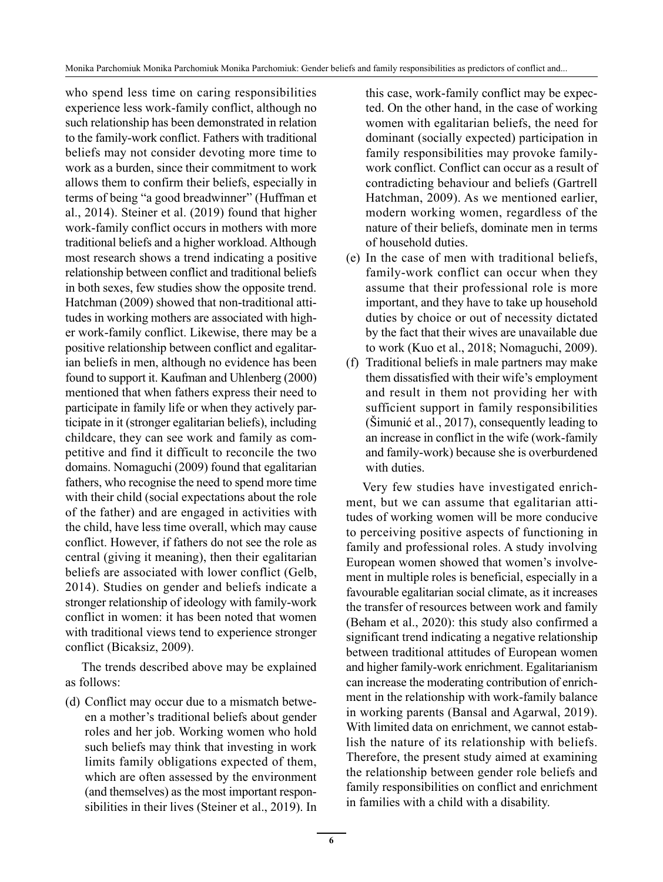Monika Parchomiuk Monika Parchomiuk Monika Parchomiuk: Gender beliefs and family responsibilities as predictors of conflict and...

who spend less time on caring responsibilities experience less work-family conflict, although no such relationship has been demonstrated in relation to the family-work conflict. Fathers with traditional beliefs may not consider devoting more time to work as a burden, since their commitment to work allows them to confirm their beliefs, especially in terms of being "a good breadwinner" (Huffman et al., 2014). Steiner et al. (2019) found that higher work-family conflict occurs in mothers with more traditional beliefs and a higher workload. Although most research shows a trend indicating a positive relationship between conflict and traditional beliefs in both sexes, few studies show the opposite trend. Hatchman (2009) showed that non-traditional attitudes in working mothers are associated with higher work-family conflict. Likewise, there may be a positive relationship between conflict and egalitarian beliefs in men, although no evidence has been found to support it. Kaufman and Uhlenberg (2000) mentioned that when fathers express their need to participate in family life or when they actively participate in it (stronger egalitarian beliefs), including childcare, they can see work and family as competitive and find it difficult to reconcile the two domains. Nomaguchi (2009) found that egalitarian fathers, who recognise the need to spend more time with their child (social expectations about the role of the father) and are engaged in activities with the child, have less time overall, which may cause conflict. However, if fathers do not see the role as central (giving it meaning), then their egalitarian beliefs are associated with lower conflict (Gelb, 2014). Studies on gender and beliefs indicate a stronger relationship of ideology with family-work conflict in women: it has been noted that women with traditional views tend to experience stronger conflict (Bicaksiz, 2009).

The trends described above may be explained as follows:

(d) Conflict may occur due to a mismatch between a mother's traditional beliefs about gender roles and her job. Working women who hold such beliefs may think that investing in work limits family obligations expected of them, which are often assessed by the environment (and themselves) as the most important responsibilities in their lives (Steiner et al., 2019). In

this case, work-family conflict may be expected. On the other hand, in the case of working women with egalitarian beliefs, the need for dominant (socially expected) participation in family responsibilities may provoke familywork conflict. Conflict can occur as a result of contradicting behaviour and beliefs (Gartrell Hatchman, 2009). As we mentioned earlier, modern working women, regardless of the nature of their beliefs, dominate men in terms of household duties.

- (e) In the case of men with traditional beliefs, family-work conflict can occur when they assume that their professional role is more important, and they have to take up household duties by choice or out of necessity dictated by the fact that their wives are unavailable due to work (Kuo et al., 2018; Nomaguchi, 2009).
- (f) Traditional beliefs in male partners may make them dissatisfied with their wife's employment and result in them not providing her with sufficient support in family responsibilities (Šimunić et al., 2017), consequently leading to an increase in conflict in the wife (work-family and family-work) because she is overburdened with duties.

Very few studies have investigated enrichment, but we can assume that egalitarian attitudes of working women will be more conducive to perceiving positive aspects of functioning in family and professional roles. A study involving European women showed that women's involvement in multiple roles is beneficial, especially in a favourable egalitarian social climate, as it increases the transfer of resources between work and family (Beham et al., 2020): this study also confirmed a significant trend indicating a negative relationship between traditional attitudes of European women and higher family-work enrichment. Egalitarianism can increase the moderating contribution of enrichment in the relationship with work-family balance in working parents (Bansal and Agarwal, 2019). With limited data on enrichment, we cannot establish the nature of its relationship with beliefs. Therefore, the present study aimed at examining the relationship between gender role beliefs and family responsibilities on conflict and enrichment in families with a child with a disability.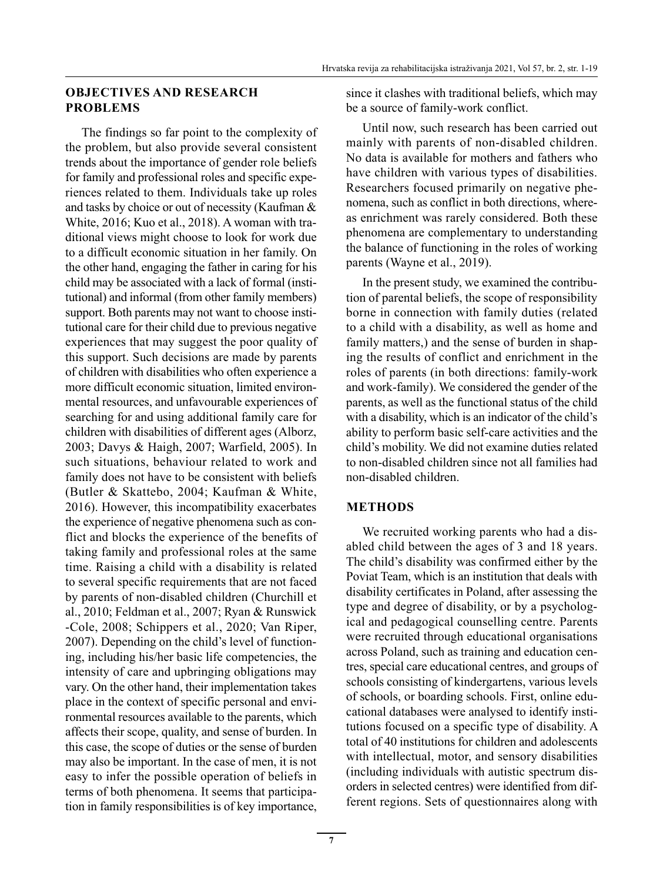### **OBJECTIVES AND RESEARCH PROBLEMS**

The findings so far point to the complexity of the problem, but also provide several consistent trends about the importance of gender role beliefs for family and professional roles and specific experiences related to them. Individuals take up roles and tasks by choice or out of necessity (Kaufman & White, 2016; Kuo et al., 2018). A woman with traditional views might choose to look for work due to a difficult economic situation in her family. On the other hand, engaging the father in caring for his child may be associated with a lack of formal (institutional) and informal (from other family members) support. Both parents may not want to choose institutional care for their child due to previous negative experiences that may suggest the poor quality of this support. Such decisions are made by parents of children with disabilities who often experience a more difficult economic situation, limited environmental resources, and unfavourable experiences of searching for and using additional family care for children with disabilities of different ages (Alborz, 2003; Davys & Haigh, 2007; Warfield, 2005). In such situations, behaviour related to work and family does not have to be consistent with beliefs (Butler & Skattebo, 2004; Kaufman & White, 2016). However, this incompatibility exacerbates the experience of negative phenomena such as conflict and blocks the experience of the benefits of taking family and professional roles at the same time. Raising a child with a disability is related to several specific requirements that are not faced by parents of non-disabled children (Churchill et al., 2010; Feldman et al., 2007; Ryan & Runswick -Cole, 2008; Schippers et al., 2020; Van Riper, 2007). Depending on the child's level of functioning, including his/her basic life competencies, the intensity of care and upbringing obligations may vary. On the other hand, their implementation takes place in the context of specific personal and environmental resources available to the parents, which affects their scope, quality, and sense of burden. In this case, the scope of duties or the sense of burden may also be important. In the case of men, it is not easy to infer the possible operation of beliefs in terms of both phenomena. It seems that participation in family responsibilities is of key importance, since it clashes with traditional beliefs, which may be a source of family-work conflict.

Until now, such research has been carried out mainly with parents of non-disabled children. No data is available for mothers and fathers who have children with various types of disabilities. Researchers focused primarily on negative phenomena, such as conflict in both directions, whereas enrichment was rarely considered. Both these phenomena are complementary to understanding the balance of functioning in the roles of working parents (Wayne et al., 2019).

In the present study, we examined the contribution of parental beliefs, the scope of responsibility borne in connection with family duties (related to a child with a disability, as well as home and family matters,) and the sense of burden in shaping the results of conflict and enrichment in the roles of parents (in both directions: family-work and work-family). We considered the gender of the parents, as well as the functional status of the child with a disability, which is an indicator of the child's ability to perform basic self-care activities and the child's mobility. We did not examine duties related to non-disabled children since not all families had non-disabled children.

#### **METHODS**

We recruited working parents who had a disabled child between the ages of 3 and 18 years. The child's disability was confirmed either by the Poviat Team, which is an institution that deals with disability certificates in Poland, after assessing the type and degree of disability, or by a psychological and pedagogical counselling centre. Parents were recruited through educational organisations across Poland, such as training and education centres, special care educational centres, and groups of schools consisting of kindergartens, various levels of schools, or boarding schools. First, online educational databases were analysed to identify institutions focused on a specific type of disability. A total of 40 institutions for children and adolescents with intellectual, motor, and sensory disabilities (including individuals with autistic spectrum disorders in selected centres) were identified from different regions. Sets of questionnaires along with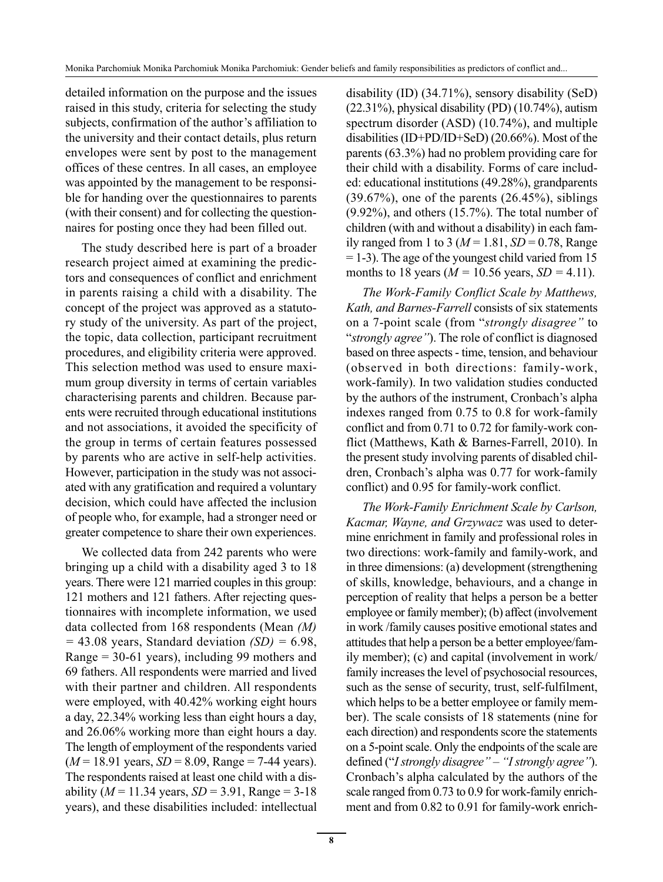detailed information on the purpose and the issues raised in this study, criteria for selecting the study subjects, confirmation of the author's affiliation to the university and their contact details, plus return envelopes were sent by post to the management offices of these centres. In all cases, an employee was appointed by the management to be responsible for handing over the questionnaires to parents (with their consent) and for collecting the questionnaires for posting once they had been filled out.

The study described here is part of a broader research project aimed at examining the predictors and consequences of conflict and enrichment in parents raising a child with a disability. The concept of the project was approved as a statutory study of the university. As part of the project, the topic, data collection, participant recruitment procedures, and eligibility criteria were approved. This selection method was used to ensure maximum group diversity in terms of certain variables characterising parents and children. Because parents were recruited through educational institutions and not associations, it avoided the specificity of the group in terms of certain features possessed by parents who are active in self-help activities. However, participation in the study was not associated with any gratification and required a voluntary decision, which could have affected the inclusion of people who, for example, had a stronger need or greater competence to share their own experiences.

We collected data from 242 parents who were bringing up a child with a disability aged 3 to 18 years. There were 121 married couples in this group: 121 mothers and 121 fathers. After rejecting questionnaires with incomplete information, we used data collected from 168 respondents (Mean *(M) =* 43.08 years, Standard deviation *(SD) =* 6.98, Range = 30-61 years), including 99 mothers and 69 fathers. All respondents were married and lived with their partner and children. All respondents were employed, with 40.42% working eight hours a day, 22.34% working less than eight hours a day, and 26.06% working more than eight hours a day. The length of employment of the respondents varied (*M* = 18.91 years, *SD* = 8.09, Range = 7-44 years). The respondents raised at least one child with a disability (*M* = 11.34 years, *SD* = 3.91, Range = 3-18 years), and these disabilities included: intellectual disability (ID) (34.71%), sensory disability (SeD)  $(22.31\%)$ , physical disability (PD)  $(10.74\%)$ , autism spectrum disorder (ASD) (10.74%), and multiple disabilities (ID+PD/ID+SeD) (20.66%). Most of the parents (63.3%) had no problem providing care for their child with a disability. Forms of care included: educational institutions (49.28%), grandparents  $(39.67\%)$ , one of the parents  $(26.45\%)$ , siblings (9.92%), and others (15.7%). The total number of children (with and without a disability) in each family ranged from 1 to 3 ( $M = 1.81$ ,  $SD = 0.78$ , Range  $= 1-3$ ). The age of the youngest child varied from 15 months to 18 years ( $M = 10.56$  years,  $SD = 4.11$ ).

*The Work-Family Conflict Scale by Matthews, Kath, and Barnes-Farrell* consists of six statements on a 7-point scale (from "*strongly disagree"* to "*strongly agree"*). The role of conflict is diagnosed based on three aspects - time, tension, and behaviour (observed in both directions: family-work, work-family). In two validation studies conducted by the authors of the instrument, Cronbach's alpha indexes ranged from 0.75 to 0.8 for work-family conflict and from 0.71 to 0.72 for family-work conflict (Matthews, Kath & Barnes-Farrell, 2010). In the present study involving parents of disabled children, Cronbach's alpha was 0.77 for work-family conflict) and 0.95 for family-work conflict.

*The Work-Family Enrichment Scale by Carlson, Kacmar, Wayne, and Grzywacz* was used to determine enrichment in family and professional roles in two directions: work-family and family-work, and in three dimensions: (a) development (strengthening of skills, knowledge, behaviours, and a change in perception of reality that helps a person be a better employee or family member); (b) affect (involvement in work /family causes positive emotional states and attitudes that help a person be a better employee/family member); (c) and capital (involvement in work/ family increases the level of psychosocial resources, such as the sense of security, trust, self-fulfilment, which helps to be a better employee or family member). The scale consists of 18 statements (nine for each direction) and respondents score the statements on a 5-point scale. Only the endpoints of the scale are defined ("*I strongly disagree" – "I strongly agree"*). Cronbach's alpha calculated by the authors of the scale ranged from 0.73 to 0.9 for work-family enrichment and from 0.82 to 0.91 for family-work enrich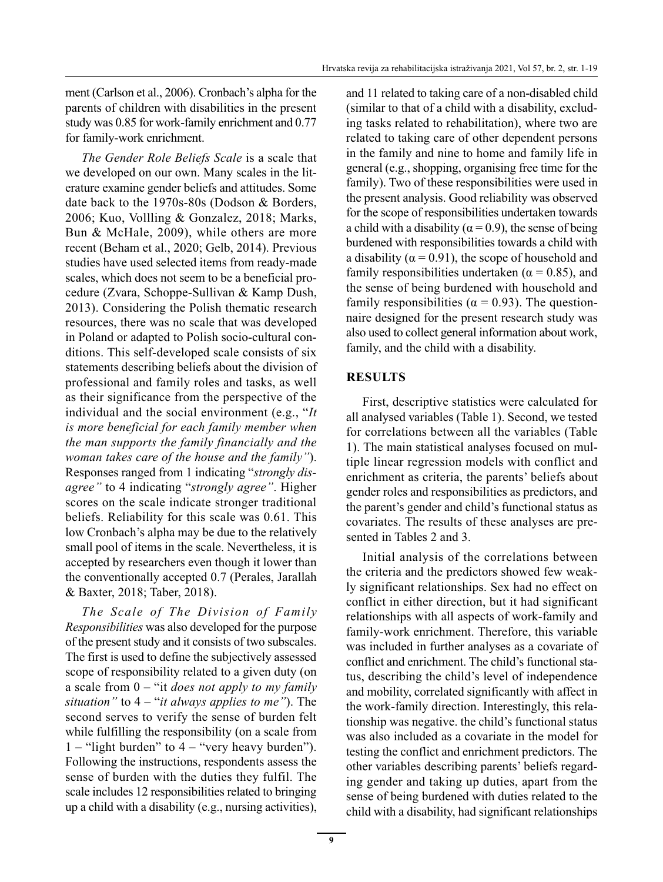ment (Carlson et al., 2006). Cronbach's alpha for the parents of children with disabilities in the present study was 0.85 for work-family enrichment and 0.77 for family-work enrichment.

*The Gender Role Beliefs Scale* is a scale that we developed on our own. Many scales in the literature examine gender beliefs and attitudes. Some date back to the 1970s-80s (Dodson & Borders, 2006; Kuo, Vollling & Gonzalez, 2018; Marks, Bun & McHale, 2009), while others are more recent (Beham et al., 2020; Gelb, 2014). Previous studies have used selected items from ready-made scales, which does not seem to be a beneficial procedure (Zvara, Schoppe-Sullivan & Kamp Dush, 2013). Considering the Polish thematic research resources, there was no scale that was developed in Poland or adapted to Polish socio-cultural conditions. This self-developed scale consists of six statements describing beliefs about the division of professional and family roles and tasks, as well as their significance from the perspective of the individual and the social environment (e.g., "*It is more beneficial for each family member when the man supports the family financially and the woman takes care of the house and the family"*). Responses ranged from 1 indicating "*strongly disagree"* to 4 indicating "*strongly agree"*. Higher scores on the scale indicate stronger traditional beliefs. Reliability for this scale was 0.61. This low Cronbach's alpha may be due to the relatively small pool of items in the scale. Nevertheless, it is accepted by researchers even though it lower than the conventionally accepted 0.7 (Perales, Jarallah & Baxter, 2018; Taber, 2018).

*The Scale of The Division of Family Responsibilities* was also developed for the purpose of the present study and it consists of two subscales. The first is used to define the subjectively assessed scope of responsibility related to a given duty (on a scale from 0 – "it *does not apply to my family situation"* to 4 – "*it always applies to me"*). The second serves to verify the sense of burden felt while fulfilling the responsibility (on a scale from  $1 -$ "light burden" to  $4 -$ "very heavy burden"). Following the instructions, respondents assess the sense of burden with the duties they fulfil. The scale includes 12 responsibilities related to bringing up a child with a disability (e.g., nursing activities), and 11 related to taking care of a non-disabled child (similar to that of a child with a disability, excluding tasks related to rehabilitation), where two are related to taking care of other dependent persons in the family and nine to home and family life in general (e.g., shopping, organising free time for the family). Two of these responsibilities were used in the present analysis. Good reliability was observed for the scope of responsibilities undertaken towards a child with a disability ( $\alpha$  = 0.9), the sense of being burdened with responsibilities towards a child with a disability ( $\alpha$  = 0.91), the scope of household and family responsibilities undertaken ( $\alpha$  = 0.85), and the sense of being burdened with household and family responsibilities ( $\alpha$  = 0.93). The questionnaire designed for the present research study was also used to collect general information about work, family, and the child with a disability.

# **RESULTS**

First, descriptive statistics were calculated for all analysed variables (Table 1). Second, we tested for correlations between all the variables (Table 1). The main statistical analyses focused on multiple linear regression models with conflict and enrichment as criteria, the parents' beliefs about gender roles and responsibilities as predictors, and the parent's gender and child's functional status as covariates. The results of these analyses are presented in Tables 2 and 3.

Initial analysis of the correlations between the criteria and the predictors showed few weakly significant relationships. Sex had no effect on conflict in either direction, but it had significant relationships with all aspects of work-family and family-work enrichment. Therefore, this variable was included in further analyses as a covariate of conflict and enrichment. The child's functional status, describing the child's level of independence and mobility, correlated significantly with affect in the work-family direction. Interestingly, this relationship was negative. the child's functional status was also included as a covariate in the model for testing the conflict and enrichment predictors. The other variables describing parents' beliefs regarding gender and taking up duties, apart from the sense of being burdened with duties related to the child with a disability, had significant relationships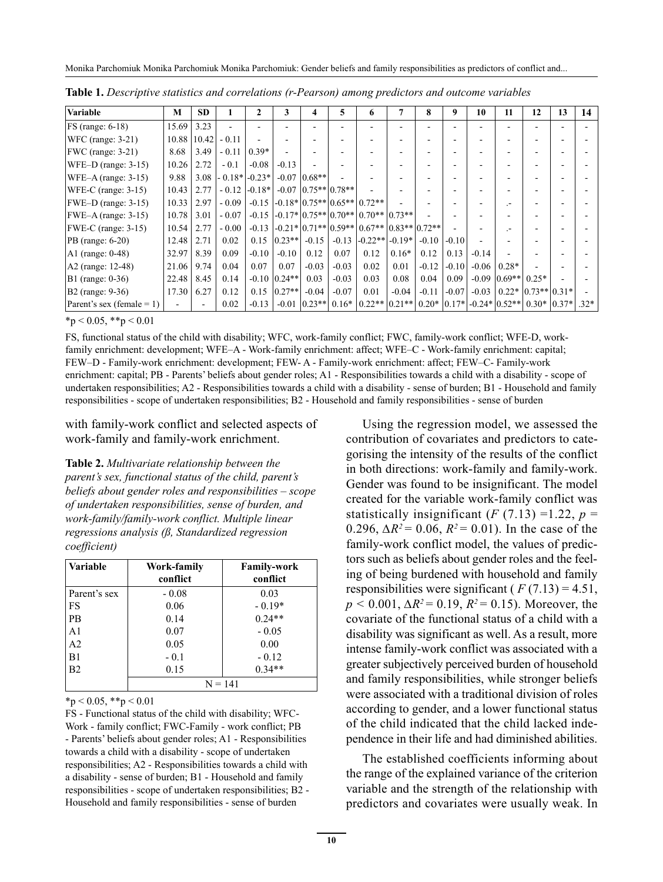| <b>Variable</b>                 | M     | <b>SD</b>     |                   | 2        | 3              | 4                         | 5       | 6                                            |         | 8       | 9         | 10      | 11               | 12                    | 13 | 14     |
|---------------------------------|-------|---------------|-------------------|----------|----------------|---------------------------|---------|----------------------------------------------|---------|---------|-----------|---------|------------------|-----------------------|----|--------|
| $FS$ (range: 6-18)              | 15.69 | 3.23          |                   |          |                |                           |         |                                              |         |         |           |         |                  |                       |    |        |
| $ \text{WFC (range: } 3-21) $   |       | 10.88   10.42 | $-0.11$           |          |                |                           |         |                                              |         |         |           |         |                  |                       |    |        |
| $ FWC$ (range: 3-21)            | 8.68  | 3.49          | $-0.11$           | $0.39*$  |                |                           |         |                                              |         |         |           |         |                  |                       |    |        |
| $WFE-D$ (range: 3-15)           | 10.26 | 2.72          | $-0.1$            | $-0.08$  | $-0.13$        |                           |         |                                              |         |         |           |         |                  |                       |    |        |
| $ \text{WFE-A (range: } 3-15) $ | 9.88  | 3.08          | $-0.18*$ $-0.23*$ |          |                | $-0.07$ 0.68**            |         |                                              |         |         |           |         |                  |                       |    |        |
| $WFE-C$ (range: $3-15$ )        | 10.43 | 2.77          | $-0.12$           | $-0.18*$ |                | $-0.07$   0.75**   0.78** |         |                                              |         |         |           |         |                  |                       |    |        |
| $ FWE-D$ (range: 3-15)          | 10.33 | 2.97          | $-0.09$           | $-0.15$  |                |                           |         | $-0.18*10.75**10.65**10.72**$                |         |         |           |         | $\overline{a}$   |                       |    |        |
| $FWE-A$ (range: 3-15)           | 10.78 | 3.01          | $-0.07$           | $-0.15$  |                |                           |         | $-0.17* 0.75** 0.70** 0.70** 0.73** $        |         |         |           |         |                  |                       |    |        |
| $ FWE-C$ (range: 3-15)          | 10.54 | 2.77          | $-0.00$           | $-0.13$  |                |                           |         | $-0.21* 0.71** 0.59** 0.67** 0.83** 0.72** $ |         |         |           |         |                  |                       |    |        |
| $PB$ (range: 6-20)              | 12.48 | 2.71          | 0.02              | 0.15     | $ 0.23** $     | $-0.15$                   | $-0.13$ | $\left  -0.22** \right $ -0.19*              |         | $-0.10$ | $-0.10$   |         |                  |                       |    |        |
| $AI$ (range: 0-48)              | 32.97 | 8.39          | 0.09              | $-0.10$  | $-0.10$        | 0.12                      | 0.07    | 0.12                                         | $0.16*$ | 0.12    | 0.13      | $-0.14$ |                  |                       |    |        |
| A2 (range: 12-48)               | 21.06 | 9.74          | 0.04              | 0.07     | 0.07           | $-0.03$                   | $-0.03$ | 0.02                                         | 0.01    | $-0.12$ | $-0.10$   | $-0.06$ | $0.28*$          |                       |    |        |
| B1 (range: 0-36)                | 22.48 | 8.45          | 0.14              |          | $-0.10$ 0.24** | 0.03                      | $-0.03$ | 0.03                                         | 0.08    | 0.04    | 0.09      | $-0.09$ | $ 0.69** $       | $0.25*$               |    |        |
| B2 (range: 9-36)                | 17.30 | 6.27          | 0.12              | 0.15     | $ 0.27** $     | $-0.04$                   | $-0.07$ | 0.01                                         | $-0.04$ | $-0.11$ | $-0.07$   | $-0.03$ |                  | $0.22* 0.73** 0.31* $ |    |        |
| Parent's sex (female = 1)       |       |               | 0.02              | $-0.13$  |                | $-0.01$   0.23**          | $0.16*$ | $ 0.22** 0.21** $                            |         | $0.20*$ | $ 0.17* $ |         | $-0.24* 0.52** $ | $0.30*10.37*$         |    | $.32*$ |

**Table 1.** *Descriptive statistics and correlations (r-Pearson) among predictors and outcome variables*

 $*$ p < 0.05,  $*$  $*$ p < 0.01

FS, functional status of the child with disability; WFC, work-family conflict; FWC, family-work conflict; WFE-D, workfamily enrichment: development; WFE–A - Work-family enrichment: affect; WFE–C - Work-family enrichment: capital; FEW–D - Family-work enrichment: development; FEW- A - Family-work enrichment: affect; FEW–C- Family-work enrichment: capital; PB - Parents' beliefs about gender roles; A1 - Responsibilities towards a child with a disability - scope of undertaken responsibilities; A2 - Responsibilities towards a child with a disability - sense of burden; B1 - Household and family responsibilities - scope of undertaken responsibilities; B2 - Household and family responsibilities - sense of burden

with family-work conflict and selected aspects of work-family and family-work enrichment.

**Table 2.** *Multivariate relationship between the parent's sex, functional status of the child, parent's beliefs about gender roles and responsibilities – scope of undertaken responsibilities, sense of burden, and work-family/family-work conflict. Multiple linear regressions analysis (ß, Standardized regression coefficient)*

| <b>Variable</b> | Work-family<br>conflict | <b>Family-work</b><br>conflict |  |  |  |
|-----------------|-------------------------|--------------------------------|--|--|--|
| Parent's sex    | $-0.08$                 | 0.03                           |  |  |  |
| FS              | 0.06                    | $-0.19*$                       |  |  |  |
| PB              | 0.14                    | $0.24**$                       |  |  |  |
| A <sub>1</sub>  | 0.07                    | $-0.05$                        |  |  |  |
| A2              | 0.05                    | 0.00                           |  |  |  |
| B1              | $-0.1$                  | $-0.12$                        |  |  |  |
| B2              | 0.15                    | $0.34**$                       |  |  |  |
|                 | $N = 141$               |                                |  |  |  |

 $*_{p}$  < 0.05,  $*_{p}$  < 0.01

FS - Functional status of the child with disability; WFC-Work - family conflict; FWC-Family - work conflict; PB - Parents' beliefs about gender roles; A1 - Responsibilities towards a child with a disability - scope of undertaken responsibilities; A2 - Responsibilities towards a child with a disability - sense of burden; B1 - Household and family responsibilities - scope of undertaken responsibilities; B2 - Household and family responsibilities - sense of burden

Using the regression model, we assessed the contribution of covariates and predictors to categorising the intensity of the results of the conflict in both directions: work-family and family-work. Gender was found to be insignificant. The model created for the variable work-family conflict was statistically insignificant  $(F (7.13) = 1.22, p =$ 0.296,  $\Delta R^2$  = 0.06,  $R^2$  = 0.01). In the case of the family-work conflict model, the values of predictors such as beliefs about gender roles and the feeling of being burdened with household and family responsibilities were significant ( $F(7.13) = 4.51$ , *p* < 0.001,  $\Delta R^2$  = 0.19,  $R^2$  = 0.15). Moreover, the covariate of the functional status of a child with a disability was significant as well. As a result, more intense family-work conflict was associated with a greater subjectively perceived burden of household and family responsibilities, while stronger beliefs were associated with a traditional division of roles according to gender, and a lower functional status of the child indicated that the child lacked independence in their life and had diminished abilities.

The established coefficients informing about the range of the explained variance of the criterion variable and the strength of the relationship with predictors and covariates were usually weak. In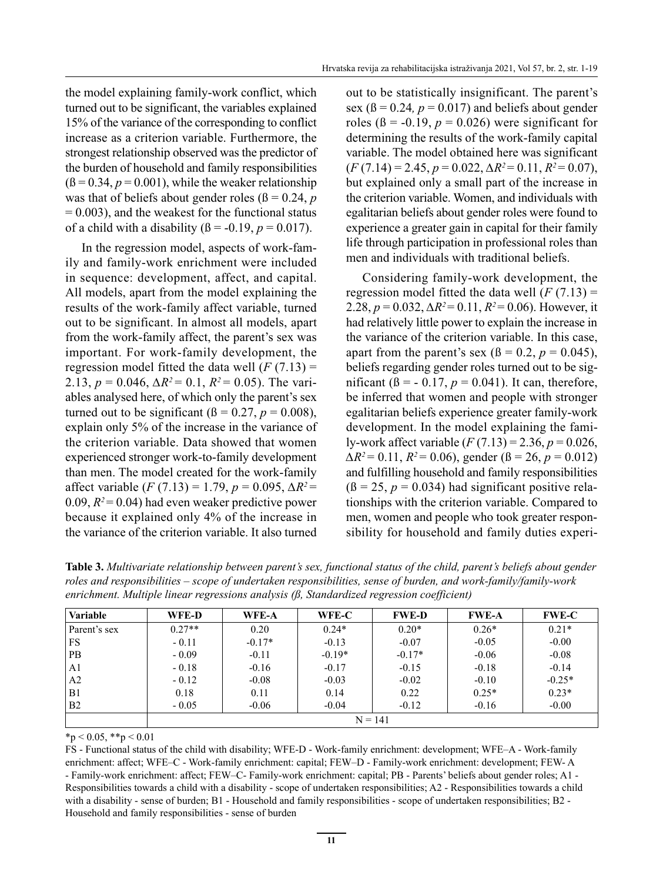the model explaining family-work conflict, which turned out to be significant, the variables explained 15% of the variance of the corresponding to conflict increase as a criterion variable. Furthermore, the strongest relationship observed was the predictor of the burden of household and family responsibilities  $(β = 0.34, p = 0.001)$ , while the weaker relationship was that of beliefs about gender roles ( $\beta = 0.24$ , *p*  $= 0.003$ ), and the weakest for the functional status of a child with a disability  $(\beta = -0.19, p = 0.017)$ .

In the regression model, aspects of work-family and family-work enrichment were included in sequence: development, affect, and capital. All models, apart from the model explaining the results of the work-family affect variable, turned out to be significant. In almost all models, apart from the work-family affect, the parent's sex was important. For work-family development, the regression model fitted the data well  $(F (7.13) =$ 2.13,  $p = 0.046$ ,  $\Delta R^2 = 0.1$ ,  $R^2 = 0.05$ ). The variables analysed here, of which only the parent's sex turned out to be significant ( $\beta = 0.27$ ,  $p = 0.008$ ), explain only 5% of the increase in the variance of the criterion variable. Data showed that women experienced stronger work-to-family development than men. The model created for the work-family affect variable (*F* (7.13) = 1.79, *p* = 0.095, *∆R2* = 0.09,  $R^2$  = 0.04) had even weaker predictive power because it explained only 4% of the increase in the variance of the criterion variable. It also turned out to be statistically insignificant. The parent's sex ( $\beta$  = 0.24*, p* = 0.017) and beliefs about gender roles ( $\beta$  = -0.19,  $p = 0.026$ ) were significant for determining the results of the work-family capital variable. The model obtained here was significant (*F* (7.14) = 2.45, *p* = 0.022, *∆R2* = 0.11, *R2* = 0.07), but explained only a small part of the increase in the criterion variable. Women, and individuals with egalitarian beliefs about gender roles were found to experience a greater gain in capital for their family life through participation in professional roles than men and individuals with traditional beliefs.

Considering family-work development, the regression model fitted the data well  $(F (7.13) =$ 2.28,  $p = 0.032$ ,  $\Delta R^2 = 0.11$ ,  $R^2 = 0.06$ ). However, it had relatively little power to explain the increase in the variance of the criterion variable. In this case, apart from the parent's sex  $(\beta = 0.2, p = 0.045)$ , beliefs regarding gender roles turned out to be significant ( $\beta = -0.17$ ,  $p = 0.041$ ). It can, therefore, be inferred that women and people with stronger egalitarian beliefs experience greater family-work development. In the model explaining the family-work affect variable (*F* (7.13) = 2.36, *p* = 0.026, *∆R2* = 0.11, *R2* = 0.06), gender (ß = 26, *p* = 0.012) and fulfilling household and family responsibilities  $(β = 25, p = 0.034)$  had significant positive relationships with the criterion variable. Compared to men, women and people who took greater responsibility for household and family duties experi-

**Table 3.** *Multivariate relationship between parent's sex, functional status of the child, parent's beliefs about gender roles and responsibilities – scope of undertaken responsibilities, sense of burden, and work-family/family-work enrichment. Multiple linear regressions analysis (ß, Standardized regression coefficient)*

| <b>Variable</b> | WFE-D     | WFE-A    | WFE-C    | <b>FWE-D</b> | <b>FWE-A</b> | <b>FWE-C</b> |  |
|-----------------|-----------|----------|----------|--------------|--------------|--------------|--|
| Parent's sex    | $0.27**$  | 0.20     | $0.24*$  | $0.20*$      | $0.26*$      | $0.21*$      |  |
| FS              | $-0.11$   | $-0.17*$ | $-0.13$  | $-0.07$      | $-0.05$      | $-0.00$      |  |
| <b>PB</b>       | $-0.09$   | $-0.11$  | $-0.19*$ | $-0.17*$     | $-0.06$      | $-0.08$      |  |
| A <sub>1</sub>  | $-0.18$   | $-0.16$  | $-0.17$  | $-0.15$      | $-0.18$      | $-0.14$      |  |
| A <sub>2</sub>  | $-0.12$   | $-0.08$  | $-0.03$  | $-0.02$      | $-0.10$      | $-0.25*$     |  |
| B1              | 0.18      | 0.11     | 0.14     | 0.22         | $0.25*$      | $0.23*$      |  |
| B <sub>2</sub>  | $-0.05$   | $-0.06$  | $-0.04$  | $-0.12$      | $-0.16$      | $-0.00$      |  |
|                 | $N = 141$ |          |          |              |              |              |  |

 $*_{p}$  < 0.05,  $*_{p}$  < 0.01

FS - Functional status of the child with disability; WFE-D - Work-family enrichment: development; WFE–A - Work-family enrichment: affect; WFE–C - Work-family enrichment: capital; FEW–D - Family-work enrichment: development; FEW- A - Family-work enrichment: affect; FEW–C- Family-work enrichment: capital; PB - Parents' beliefs about gender roles; A1 - Responsibilities towards a child with a disability - scope of undertaken responsibilities; A2 - Responsibilities towards a child with a disability - sense of burden; B1 - Household and family responsibilities - scope of undertaken responsibilities; B2 - Household and family responsibilities - sense of burden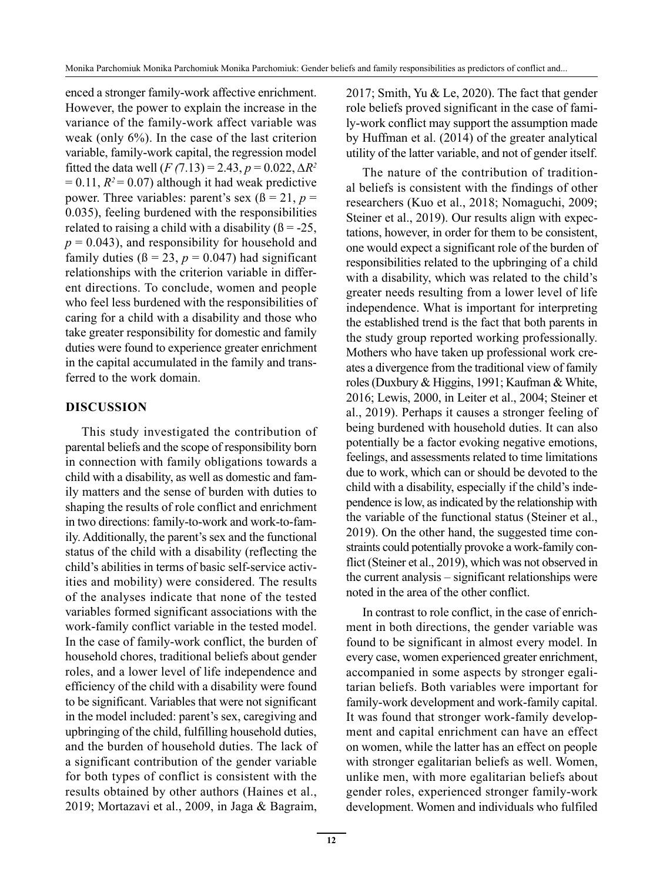enced a stronger family-work affective enrichment. However, the power to explain the increase in the variance of the family-work affect variable was weak (only 6%). In the case of the last criterion variable, family-work capital, the regression model fitted the data well  $(F (7.13) = 2.43, p = 0.022, \Delta R^2)$  $= 0.11$ ,  $R<sup>2</sup> = 0.07$ ) although it had weak predictive power. Three variables: parent's sex  $(\beta = 21, p = 1)$ 0.035), feeling burdened with the responsibilities related to raising a child with a disability  $(β = -25,$  $p = 0.043$ , and responsibility for household and family duties  $(\beta = 23, p = 0.047)$  had significant relationships with the criterion variable in different directions. To conclude, women and people who feel less burdened with the responsibilities of caring for a child with a disability and those who take greater responsibility for domestic and family duties were found to experience greater enrichment in the capital accumulated in the family and transferred to the work domain.

## **DISCUSSION**

This study investigated the contribution of parental beliefs and the scope of responsibility born in connection with family obligations towards a child with a disability, as well as domestic and family matters and the sense of burden with duties to shaping the results of role conflict and enrichment in two directions: family-to-work and work-to-family. Additionally, the parent's sex and the functional status of the child with a disability (reflecting the child's abilities in terms of basic self-service activities and mobility) were considered. The results of the analyses indicate that none of the tested variables formed significant associations with the work-family conflict variable in the tested model. In the case of family-work conflict, the burden of household chores, traditional beliefs about gender roles, and a lower level of life independence and efficiency of the child with a disability were found to be significant. Variables that were not significant in the model included: parent's sex, caregiving and upbringing of the child, fulfilling household duties, and the burden of household duties. The lack of a significant contribution of the gender variable for both types of conflict is consistent with the results obtained by other authors (Haines et al., 2019; Mortazavi et al., 2009, in Jaga & Bagraim, 2017; Smith, Yu & Le, 2020). The fact that gender role beliefs proved significant in the case of family-work conflict may support the assumption made by Huffman et al. (2014) of the greater analytical utility of the latter variable, and not of gender itself.

The nature of the contribution of traditional beliefs is consistent with the findings of other researchers (Kuo et al., 2018; Nomaguchi, 2009; Steiner et al., 2019). Our results align with expectations, however, in order for them to be consistent, one would expect a significant role of the burden of responsibilities related to the upbringing of a child with a disability, which was related to the child's greater needs resulting from a lower level of life independence. What is important for interpreting the established trend is the fact that both parents in the study group reported working professionally. Mothers who have taken up professional work creates a divergence from the traditional view of family roles (Duxbury & Higgins, 1991; Kaufman & White, 2016; Lewis, 2000, in Leiter et al., 2004; Steiner et al., 2019). Perhaps it causes a stronger feeling of being burdened with household duties. It can also potentially be a factor evoking negative emotions, feelings, and assessments related to time limitations due to work, which can or should be devoted to the child with a disability, especially if the child's independence is low, as indicated by the relationship with the variable of the functional status (Steiner et al., 2019). On the other hand, the suggested time constraints could potentially provoke a work-family conflict (Steiner et al., 2019), which was not observed in the current analysis – significant relationships were noted in the area of the other conflict.

In contrast to role conflict, in the case of enrichment in both directions, the gender variable was found to be significant in almost every model. In every case, women experienced greater enrichment, accompanied in some aspects by stronger egalitarian beliefs. Both variables were important for family-work development and work-family capital. It was found that stronger work-family development and capital enrichment can have an effect on women, while the latter has an effect on people with stronger egalitarian beliefs as well. Women, unlike men, with more egalitarian beliefs about gender roles, experienced stronger family-work development. Women and individuals who fulfiled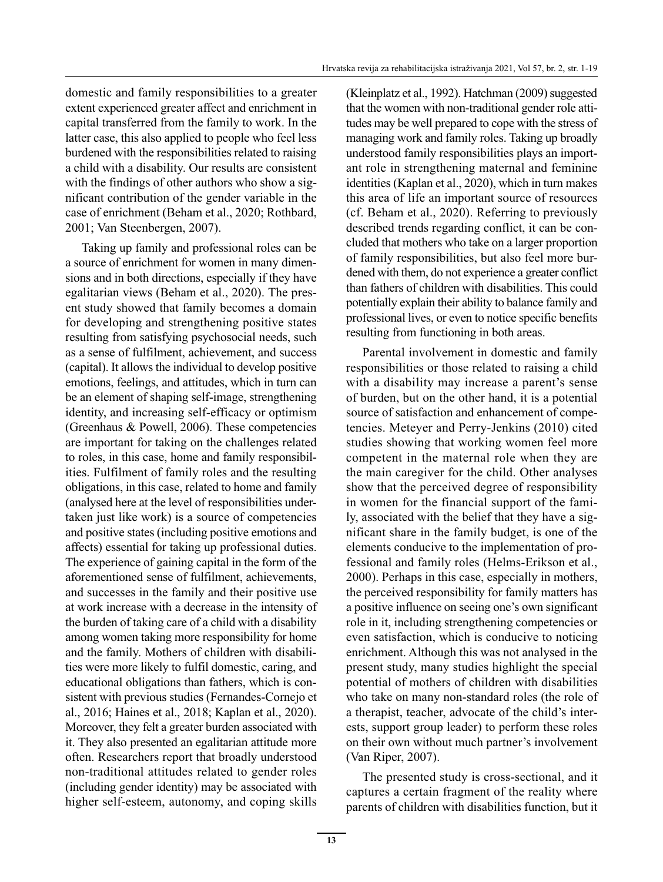domestic and family responsibilities to a greater extent experienced greater affect and enrichment in capital transferred from the family to work. In the latter case, this also applied to people who feel less burdened with the responsibilities related to raising a child with a disability. Our results are consistent with the findings of other authors who show a significant contribution of the gender variable in the case of enrichment (Beham et al., 2020; Rothbard, 2001; Van Steenbergen, 2007).

Taking up family and professional roles can be a source of enrichment for women in many dimensions and in both directions, especially if they have egalitarian views (Beham et al., 2020). The present study showed that family becomes a domain for developing and strengthening positive states resulting from satisfying psychosocial needs, such as a sense of fulfilment, achievement, and success (capital). It allows the individual to develop positive emotions, feelings, and attitudes, which in turn can be an element of shaping self-image, strengthening identity, and increasing self-efficacy or optimism (Greenhaus & Powell, 2006). These competencies are important for taking on the challenges related to roles, in this case, home and family responsibilities. Fulfilment of family roles and the resulting obligations, in this case, related to home and family (analysed here at the level of responsibilities undertaken just like work) is a source of competencies and positive states (including positive emotions and affects) essential for taking up professional duties. The experience of gaining capital in the form of the aforementioned sense of fulfilment, achievements, and successes in the family and their positive use at work increase with a decrease in the intensity of the burden of taking care of a child with a disability among women taking more responsibility for home and the family. Mothers of children with disabilities were more likely to fulfil domestic, caring, and educational obligations than fathers, which is consistent with previous studies (Fernandes-Cornejo et al., 2016; Haines et al., 2018; Kaplan et al., 2020). Moreover, they felt a greater burden associated with it. They also presented an egalitarian attitude more often. Researchers report that broadly understood non-traditional attitudes related to gender roles (including gender identity) may be associated with higher self-esteem, autonomy, and coping skills (Kleinplatz et al., 1992). Hatchman (2009) suggested that the women with non-traditional gender role attitudes may be well prepared to cope with the stress of managing work and family roles. Taking up broadly understood family responsibilities plays an important role in strengthening maternal and feminine identities (Kaplan et al., 2020), which in turn makes this area of life an important source of resources (cf. Beham et al., 2020). Referring to previously described trends regarding conflict, it can be concluded that mothers who take on a larger proportion of family responsibilities, but also feel more burdened with them, do not experience a greater conflict than fathers of children with disabilities. This could potentially explain their ability to balance family and professional lives, or even to notice specific benefits resulting from functioning in both areas.

Parental involvement in domestic and family responsibilities or those related to raising a child with a disability may increase a parent's sense of burden, but on the other hand, it is a potential source of satisfaction and enhancement of competencies. Meteyer and Perry-Jenkins (2010) cited studies showing that working women feel more competent in the maternal role when they are the main caregiver for the child. Other analyses show that the perceived degree of responsibility in women for the financial support of the family, associated with the belief that they have a significant share in the family budget, is one of the elements conducive to the implementation of professional and family roles (Helms-Erikson et al., 2000). Perhaps in this case, especially in mothers, the perceived responsibility for family matters has a positive influence on seeing one's own significant role in it, including strengthening competencies or even satisfaction, which is conducive to noticing enrichment. Although this was not analysed in the present study, many studies highlight the special potential of mothers of children with disabilities who take on many non-standard roles (the role of a therapist, teacher, advocate of the child's interests, support group leader) to perform these roles on their own without much partner's involvement (Van Riper, 2007).

The presented study is cross-sectional, and it captures a certain fragment of the reality where parents of children with disabilities function, but it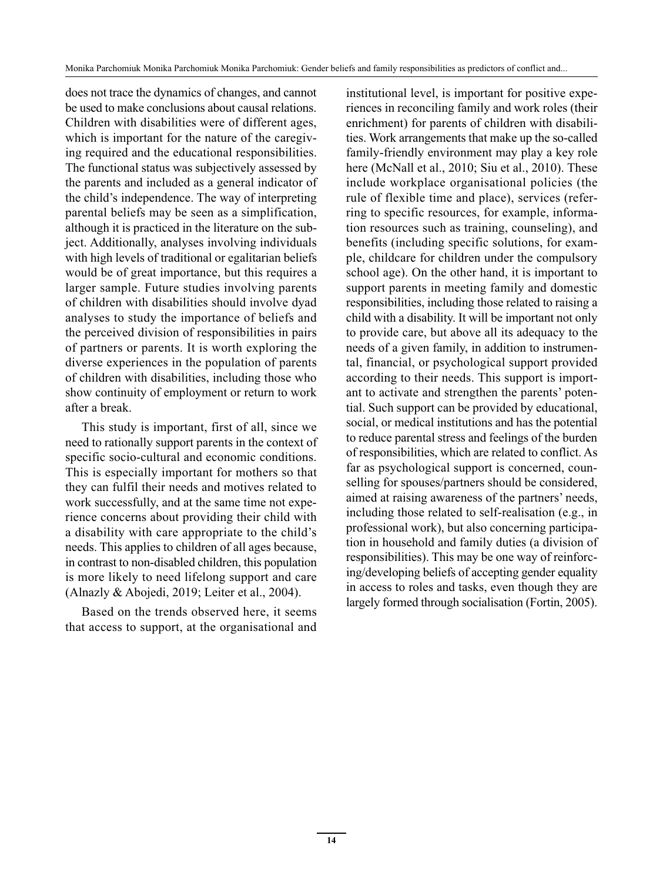does not trace the dynamics of changes, and cannot be used to make conclusions about causal relations. Children with disabilities were of different ages, which is important for the nature of the caregiving required and the educational responsibilities. The functional status was subjectively assessed by the parents and included as a general indicator of the child's independence. The way of interpreting parental beliefs may be seen as a simplification, although it is practiced in the literature on the subject. Additionally, analyses involving individuals with high levels of traditional or egalitarian beliefs would be of great importance, but this requires a larger sample. Future studies involving parents of children with disabilities should involve dyad analyses to study the importance of beliefs and the perceived division of responsibilities in pairs of partners or parents. It is worth exploring the diverse experiences in the population of parents of children with disabilities, including those who show continuity of employment or return to work after a break.

This study is important, first of all, since we need to rationally support parents in the context of specific socio-cultural and economic conditions. This is especially important for mothers so that they can fulfil their needs and motives related to work successfully, and at the same time not experience concerns about providing their child with a disability with care appropriate to the child's needs. This applies to children of all ages because, in contrast to non-disabled children, this population is more likely to need lifelong support and care (Alnazly & Abojedi, 2019; Leiter et al., 2004).

Based on the trends observed here, it seems that access to support, at the organisational and institutional level, is important for positive experiences in reconciling family and work roles (their enrichment) for parents of children with disabilities. Work arrangements that make up the so-called family-friendly environment may play a key role here (McNall et al., 2010; Siu et al., 2010). These include workplace organisational policies (the rule of flexible time and place), services (referring to specific resources, for example, information resources such as training, counseling), and benefits (including specific solutions, for example, childcare for children under the compulsory school age). On the other hand, it is important to support parents in meeting family and domestic responsibilities, including those related to raising a child with a disability. It will be important not only to provide care, but above all its adequacy to the needs of a given family, in addition to instrumental, financial, or psychological support provided according to their needs. This support is important to activate and strengthen the parents' potential. Such support can be provided by educational, social, or medical institutions and has the potential to reduce parental stress and feelings of the burden of responsibilities, which are related to conflict. As far as psychological support is concerned, counselling for spouses/partners should be considered, aimed at raising awareness of the partners' needs, including those related to self-realisation (e.g., in professional work), but also concerning participation in household and family duties (a division of responsibilities). This may be one way of reinforcing/developing beliefs of accepting gender equality in access to roles and tasks, even though they are largely formed through socialisation (Fortin, 2005).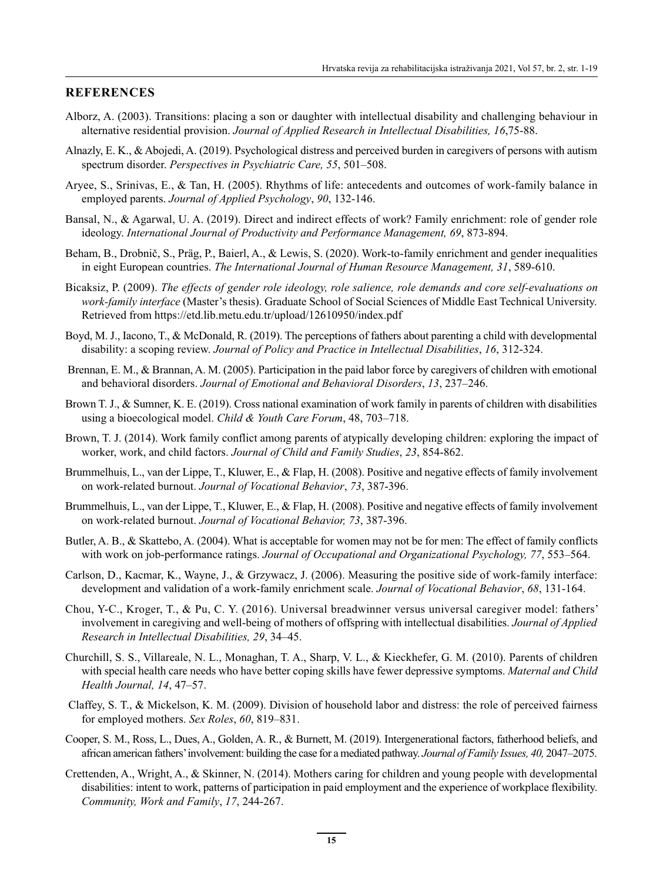#### **REFERENCES**

- Alborz, A. (2003). Transitions: placing a son or daughter with intellectual disability and challenging behaviour in alternative residential provision. *Journal of Applied Research in Intellectual Disabilities, 16*,75-88.
- Alnazly, E. K., & Abojedi, A. (2019). Psychological distress and perceived burden in caregivers of persons with autism spectrum disorder. *Perspectives in Psychiatric Care, 55*, 501–508.
- Aryee, S., Srinivas, E., & Tan, H. (2005). Rhythms of life: antecedents and outcomes of work-family balance in employed parents. *Journal of Applied Psychology*, *90*, 132-146.
- Bansal, N., & Agarwal, U. A. (2019). Direct and indirect effects of work? Family enrichment: role of gender role ideology. *International Journal of Productivity and Performance Management, 69*, 873-894.
- Beham, B., Drobnič, S., Präg, P., Baierl, A., & Lewis, S. (2020). Work-to-family enrichment and gender inequalities in eight European countries. *The International Journal of Human Resource Management, 31*, 589-610.
- Bicaksiz, P. (2009). *The effects of gender role ideology, role salience, role demands and core self-evaluations on work-family interface* (Master's thesis). Graduate School of Social Sciences of Middle East Technical University. Retrieved from https://etd.lib.metu.edu.tr/upload/12610950/index.pdf
- Boyd, M. J., Iacono, T., & McDonald, R. (2019). The perceptions of fathers about parenting a child with developmental disability: a scoping review. *Journal of Policy and Practice in Intellectual Disabilities*, *16*, 312-324.
- Brennan, E. M., & Brannan, A. M. (2005). Participation in the paid labor force by caregivers of children with emotional and behavioral disorders. *Journal of Emotional and Behavioral Disorders*, *13*, 237–246.
- Brown T. J., & Sumner, K. E. (2019). Cross national examination of work family in parents of children with disabilities using a bioecological model. *Child & Youth Care Forum*, 48, 703–718.
- Brown, T. J. (2014). Work family conflict among parents of atypically developing children: exploring the impact of worker, work, and child factors. *Journal of Child and Family Studies*, *23*, 854-862.
- Brummelhuis, L., van der Lippe, T., Kluwer, E., & Flap, H. (2008). Positive and negative effects of family involvement on work-related burnout. *Journal of Vocational Behavior*, *73*, 387-396.
- Brummelhuis, L., van der Lippe, T., Kluwer, E., & Flap, H. (2008). Positive and negative effects of family involvement on work-related burnout. *Journal of Vocational Behavior, 73*, 387-396.
- Butler, A. B., & Skattebo, A. (2004). What is acceptable for women may not be for men: The effect of family conflicts with work on job-performance ratings. *Journal of Occupational and Organizational Psychology, 77*, 553–564.
- Carlson, D., Kacmar, K., Wayne, J., & Grzywacz, J. (2006). Measuring the positive side of work-family interface: development and validation of a work-family enrichment scale. *Journal of Vocational Behavior*, *68*, 131-164.
- Chou, Y-C., Kroger, T., & Pu, C. Y. (2016). Universal breadwinner versus universal caregiver model: fathers' involvement in caregiving and well-being of mothers of offspring with intellectual disabilities. *Journal of Applied Research in Intellectual Disabilities, 29*, 34–45.
- Churchill, S. S., Villareale, N. L., Monaghan, T. A., Sharp, V. L., & Kieckhefer, G. M. (2010). Parents of children with special health care needs who have better coping skills have fewer depressive symptoms. *Maternal and Child Health Journal, 14*, 47–57.
- Claffey, S. T., & Mickelson, K. M. (2009). Division of household labor and distress: the role of perceived fairness for employed mothers. *Sex Roles*, *60*, 819–831.
- Cooper, S. M., Ross, L., Dues, A., Golden, A. R., & Burnett, M. (2019). Intergenerational factors, fatherhood beliefs, and african american fathers' involvement: building the case for a mediated pathway. *Journal of Family Issues, 40,* 2047–2075.
- Crettenden, A., Wright, A., & Skinner, N. (2014). Mothers caring for children and young people with developmental disabilities: intent to work, patterns of participation in paid employment and the experience of workplace flexibility. *Community, Work and Family*, *17*, 244-267.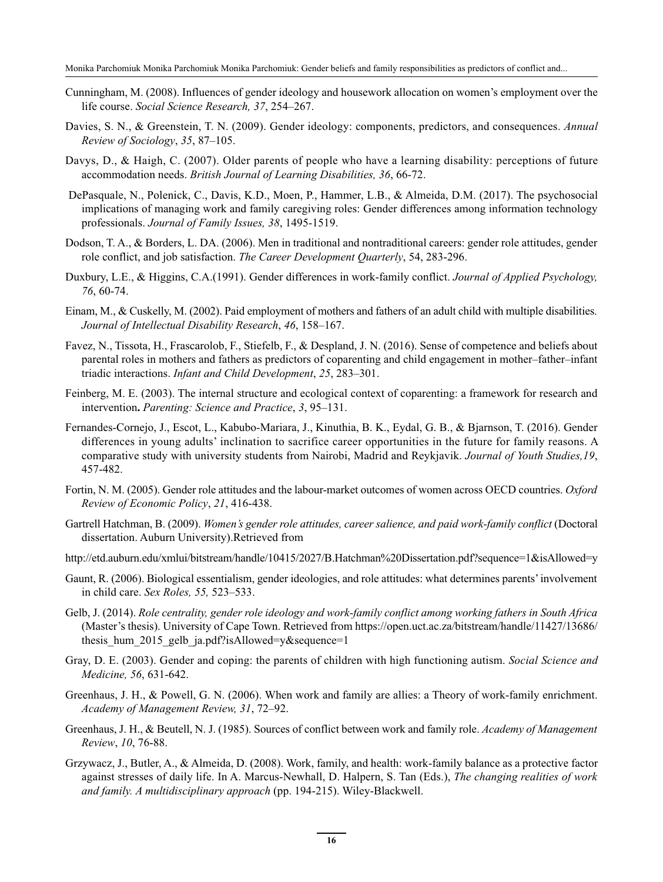- Cunningham, M. (2008). Influences of gender ideology and housework allocation on women's employment over the life course. *Social Science Research, 37*, 254–267.
- Davies, S. N., & Greenstein, T. N. (2009). Gender ideology: components, predictors, and consequences. *Annual Review of Sociology*, *35*, 87–105.
- Davys, D., & Haigh, C. (2007). Older parents of people who have a learning disability: perceptions of future accommodation needs. *British Journal of Learning Disabilities, 36*, 66-72.
- DePasquale, N., Polenick, C., Davis, K.D., Moen, P., Hammer, L.B., & Almeida, D.M. (2017). The psychosocial implications of managing work and family caregiving roles: Gender differences among information technology professionals. *Journal of Family Issues, 38*, 1495-1519.
- Dodson, T. A., & Borders, L. DA. (2006). Men in traditional and nontraditional careers: gender role attitudes, gender role conflict, and job satisfaction. *The Career Development Quarterly*, 54, 283-296.
- Duxbury, L.E., & Higgins, C.A.(1991). Gender differences in work-family conflict. *Journal of Applied Psychology, 76*, 60-74.
- Einam, M., & Cuskelly, M. (2002). Paid employment of mothers and fathers of an adult child with multiple disabilities. *Journal of Intellectual Disability Research*, *46*, 158–167.
- Favez, N., Tissota, H., Frascarolob, F., Stiefelb, F., & Despland, J. N. (2016). Sense of competence and beliefs about parental roles in mothers and fathers as predictors of coparenting and child engagement in mother–father–infant triadic interactions. *Infant and Child Development*, *25*, 283–301.
- Feinberg, M. E. (2003). The internal structure and ecological context of coparenting: a framework for research and intervention**.** *Parenting: Science and Practice*, *3*, 95–131.
- Fernandes-Cornejo, J., Escot, L., Kabubo-Mariara, J., Kinuthia, B. K., Eydal, G. B., & Bjarnson, T. (2016). Gender differences in young adults' inclination to sacrifice career opportunities in the future for family reasons. A comparative study with university students from Nairobi, Madrid and Reykjavik. *Journal of Youth Studies,19*, 457-482.
- Fortin, N. M. (2005). Gender role attitudes and the labour-market outcomes of women across OECD countries. *Oxford Review of Economic Policy*, *21*, 416-438.
- Gartrell Hatchman, B. (2009). *Women's gender role attitudes, career salience, and paid work-family conflict* (Doctoral dissertation. Auburn University).Retrieved from
- http://etd.auburn.edu/xmlui/bitstream/handle/10415/2027/B.Hatchman%20Dissertation.pdf?sequence=1&isAllowed=y
- Gaunt, R. (2006). Biological essentialism, gender ideologies, and role attitudes: what determines parents' involvement in child care. *Sex Roles, 55,* 523–533.
- Gelb, J. (2014). *Role centrality, gender role ideology and work-family conflict among working fathers in South Africa* (Master's thesis). University of Cape Town. Retrieved from https://open.uct.ac.za/bitstream/handle/11427/13686/ thesis hum 2015 gelb ja.pdf?isAllowed=y&sequence=1
- Gray, D. E. (2003). Gender and coping: the parents of children with high functioning autism. *Social Science and Medicine, 56*, 631-642.
- Greenhaus, J. H., & Powell, G. N. (2006). When work and family are allies: a Theory of work-family enrichment. *Academy of Management Review, 31*, 72–92.
- Greenhaus, J. H., & Beutell, N. J. (1985). Sources of conflict between work and family role. *Academy of Management Review*, *10*, 76-88.
- Grzywacz, J., Butler, A., & Almeida, D. (2008). Work, family, and health: work-family balance as a protective factor against stresses of daily life. In A. Marcus-Newhall, D. Halpern, S. Tan (Eds.), *The changing realities of work and family. A multidisciplinary approach* (pp. 194-215). Wiley-Blackwell.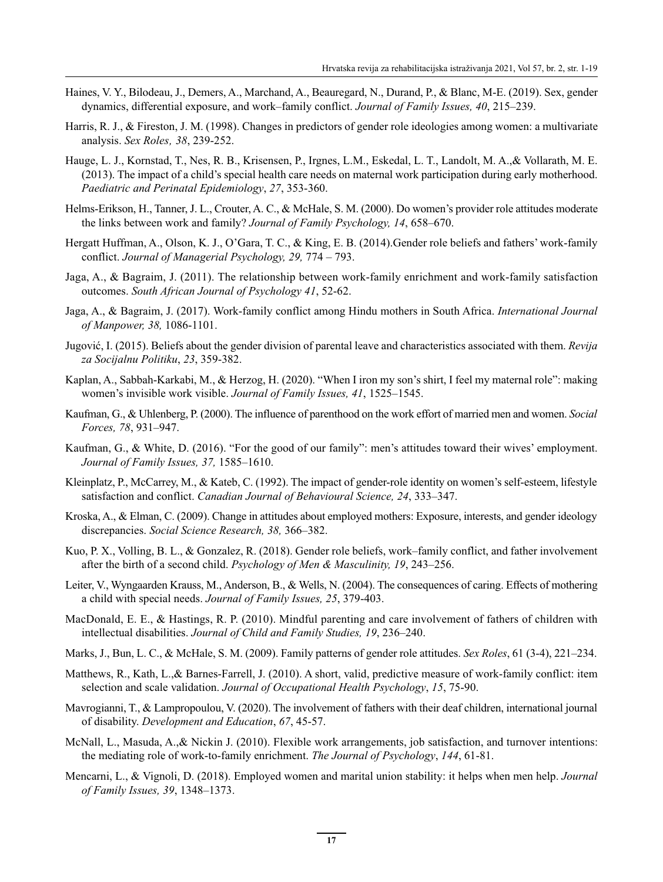- Haines, V. Y., Bilodeau, J., Demers, A., Marchand, A., Beauregard, N., Durand, P., & Blanc, M-E. (2019). Sex, gender dynamics, differential exposure, and work–family conflict. *Journal of Family Issues, 40*, 215–239.
- Harris, R. J., & Fireston, J. M. (1998). Changes in predictors of gender role ideologies among women: a multivariate analysis. *Sex Roles' 38*, 239-252.
- Hauge, L. J., Kornstad, T., Nes, R. B., Krisensen, P., Irgnes, L.M., Eskedal, L. T., Landolt, M. A.,& Vollarath, M. E. (2013). The impact of a child's special health care needs on maternal work participation during early motherhood. *Paediatric and Perinatal Epidemiology*, *27*, 353-360.
- Helms-Erikson, H., Tanner, J. L., Crouter, A. C., & McHale, S. M. (2000). Do women's provider role attitudes moderate the links between work and family? *Journal of Family Psychology, 14*, 658–670.
- Hergatt Huffman, A., Olson, K. J., O'Gara, T. C., & King, E. B. (2014).Gender role beliefs and fathers' work-family conflict. *Journal of Managerial Psychology, 29,* 774 – 793.
- Jaga, A., & Bagraim, J. (2011). The relationship between work-family enrichment and work-family satisfaction outcomes. *South African Journal of Psychology 41*, 52-62.
- Jaga, A., & Bagraim, J. (2017). Work-family conflict among Hindu mothers in South Africa. *International Journal of Manpower, 38,* 1086-1101.
- Jugović, I. (2015). Beliefs about the gender division of parental leave and characteristics associated with them. *Revija za Socijalnu Politiku*, *23*, 359-382.
- Kaplan, A., Sabbah-Karkabi, M., & Herzog, H. (2020). "When I iron my son's shirt, I feel my maternal role": making women's invisible work visible. *Journal of Family Issues, 41*, 1525–1545.
- Kaufman, G., & Uhlenberg, P. (2000). The influence of parenthood on the work effort of married men and women. *Social Forces, 78*, 931–947.
- Kaufman, G., & White, D. (2016). "For the good of our family": men's attitudes toward their wives' employment. *Journal of Family Issues, 37,* 1585–1610.
- Kleinplatz, P., McCarrey, M., & Kateb, C. (1992). The impact of gender-role identity on women's self-esteem, lifestyle satisfaction and conflict. *Canadian Journal of Behavioural Science, 24*, 333–347.
- Kroska, A., & Elman, C. (2009). Change in attitudes about employed mothers: Exposure, interests, and gender ideology discrepancies. *Social Science Research, 38,* 366–382.
- Kuo, P. X., Volling, B. L., & Gonzalez, R. (2018). Gender role beliefs, work–family conflict, and father involvement after the birth of a second child. *Psychology of Men & Masculinity, 19*, 243–256.
- Leiter, V., Wyngaarden Krauss, M., Anderson, B., & Wells, N. (2004). The consequences of caring. Effects of mothering a child with special needs. *Journal of Family Issues, 25*, 379-403.
- MacDonald, E. E., & Hastings, R. P. (2010). Mindful parenting and care involvement of fathers of children with intellectual disabilities. *Journal of Child and Family Studies, 19*, 236–240.
- Marks, J., Bun, L. C., & McHale, S. M. (2009). Family patterns of gender role attitudes. *Sex Roles*, 61 (3-4), 221–234.
- Matthews, R., Kath, L.,& Barnes-Farrell, J. (2010). A short, valid, predictive measure of work-family conflict: item selection and scale validation. *Journal of Occupational Health Psychology*, *15*, 75-90.
- Mavrogianni, T., & Lampropoulou, V. (2020). The involvement of fathers with their deaf children, international journal of disability. *Development and Education*, *67*, 45-57.
- McNall, L., Masuda, A.,& Nickin J. (2010). Flexible work arrangements, job satisfaction, and turnover intentions: the mediating role of work-to-family enrichment. *The Journal of Psychology*, *144*, 61-81.
- Mencarni, L., & Vignoli, D. (2018). Employed women and marital union stability: it helps when men help. *Journal of Family Issues, 39*, 1348–1373.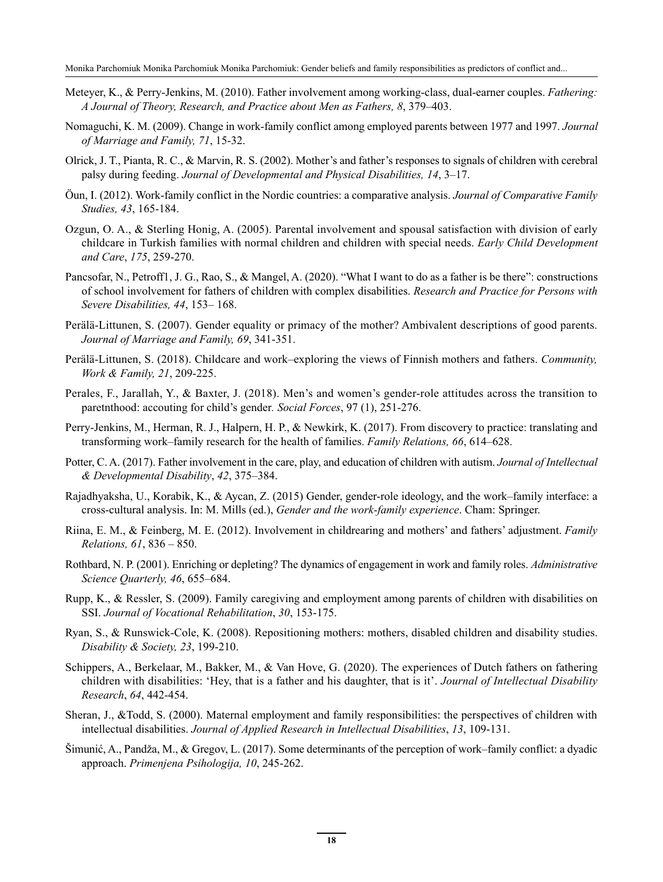- Meteyer, K., & Perry-Jenkins, M. (2010). Father involvement among working-class, dual-earner couples. *Fathering: A Journal of Theory, Research, and Practice about Men as Fathers, 8*, 379–403.
- Nomaguchi, K. M. (2009). Change in work-family conflict among employed parents between 1977 and 1997. *Journal of Marriage and Family, 71*, 15-32.
- Olrick, J. T., Pianta, R. C., & Marvin, R. S. (2002). Mother's and father's responses to signals of children with cerebral palsy during feeding. *Journal of Developmental and Physical Disabilities, 14*, 3–17.
- Öun, I. (2012). Work-family conflict in the Nordic countries: a comparative analysis. *Journal of Comparative Family Studies, 43*, 165-184.
- Ozgun, O. A., & Sterling Honig, A. (2005). Parental involvement and spousal satisfaction with division of early childcare in Turkish families with normal children and children with special needs. *Early Child Development and Care*, *175*, 259-270.
- Pancsofar, N., Petroff1, J. G., Rao, S., & Mangel, A. (2020). "What I want to do as a father is be there": constructions of school involvement for fathers of children with complex disabilities. *Research and Practice for Persons with Severe Disabilities, 44*, 153– 168.
- Perälä-Littunen, S. (2007). Gender equality or primacy of the mother? Ambivalent descriptions of good parents. *Journal of Marriage and Family, 69*, 341-351.
- Perälä-Littunen, S. (2018). Childcare and work–exploring the views of Finnish mothers and fathers. *Community, Work & Family, 21*, 209-225.
- Perales, F., Jarallah, Y., & Baxter, J. (2018). Men's and women's gender-role attitudes across the transition to paretnthood: accouting for child's gender*. Social Forces*, 97 (1), 251-276.
- Perry-Jenkins, M., Herman, R. J., Halpern, H. P., & Newkirk, K. (2017). From discovery to practice: translating and transforming work–family research for the health of families. *Family Relations, 66*, 614–628.
- Potter, C. A. (2017). Father involvement in the care, play, and education of children with autism. *Journal of Intellectual & Developmental Disability*, *42*, 375–384.
- Rajadhyaksha, U., Korabik, K., & Aycan, Z. (2015) Gender, gender-role ideology, and the work–family interface: a cross-cultural analysis. In: M. Mills (ed.), *Gender and the work-family experience*. Cham: Springer.
- Riina, E. M., & Feinberg, M. E. (2012). Involvement in childrearing and mothers' and fathers' adjustment. *Family Relations, 61*, 836 – 850.
- Rothbard, N. P. (2001). Enriching or depleting? The dynamics of engagement in work and family roles. *Administrative Science Quarterly, 46*, 655–684.
- Rupp, K., & Ressler, S. (2009). Family caregiving and employment among parents of children with disabilities on SSI. *Journal of Vocational Rehabilitation*, *30*, 153-175.
- Ryan, S., & Runswick-Cole, K. (2008). Repositioning mothers: mothers, disabled children and disability studies. *Disability & Society, 23*, 199-210.
- Schippers, A., Berkelaar, M., Bakker, M., & Van Hove, G. (2020). The experiences of Dutch fathers on fathering children with disabilities: 'Hey, that is a father and his daughter, that is it'. *Journal of Intellectual Disability Research*, *64*, 442-454.
- Sheran, J., &Todd, S. (2000). Maternal employment and family responsibilities: the perspectives of children with intellectual disabilities. *Journal of Applied Research in Intellectual Disabilities*, *13*, 109-131.
- Šimunić, A., Pandža, M., & Gregov, L. (2017). Some determinants of the perception of work–family conflict: a dyadic approach. *Primenjena Psihologija, 10*, 245-262.